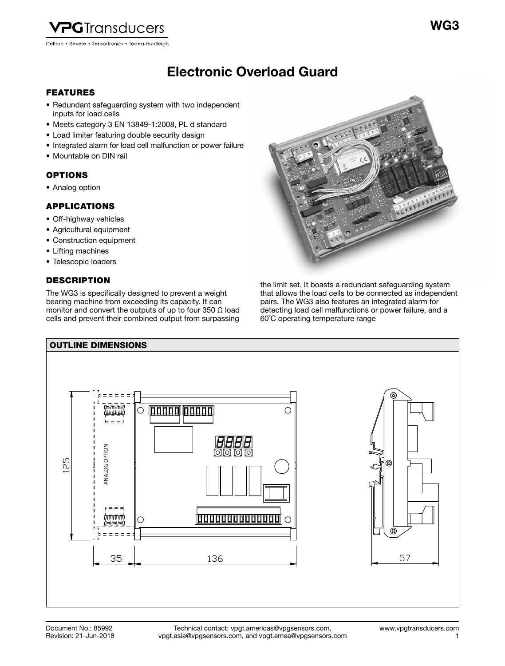

Electronic Overload Guard Electronic Overload Guard

### FEATURES

- Redundant safeguarding system with two independent inputs for load cells
- Meets category 3 EN 13849-1:2008, PL d standard
- Load limiter featuring double security design
- Integrated alarm for load cell malfunction or power failure
- Mountable on DIN rail

## OPTIONS

• Analog option

## APPLICATIONS

- Off-highway vehicles
- Agricultural equipment
- Construction equipment
- Lifting machines
- Telescopic loaders

## **DESCRIPTION**

The WG3 is specifically designed to prevent a weight bearing machine from exceeding its capacity. It can monitor and convert the outputs of up to four 350  $\Omega$  load cells and prevent their combined output from surpassing



the limit set. It boasts a redundant safeguarding system that allows the load cells to be connected as independent pairs. The WG3 also features an integrated alarm for detecting load cell malfunctions or power failure, and a 60˚C operating temperature range

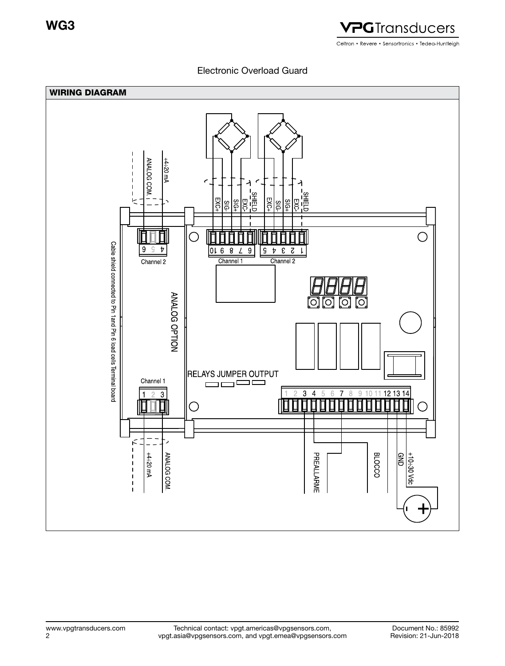

Electronic Overload Guard

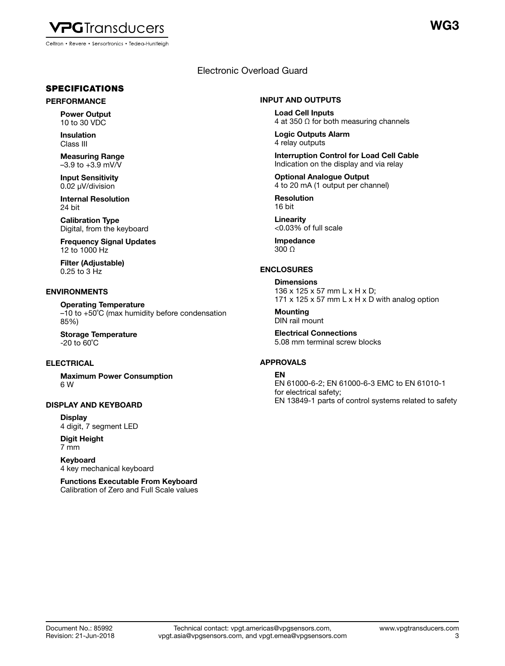

### SPECIFICATIONS

#### PERFORMANCE

Power Output 10 to 30 VDC

Insulation Class III

Measuring Range  $-3.9$  to  $+3.9$  mV/V

Input Sensitivity 0.02 μV/division

Internal Resolution 24 bit

Calibration Type Digital, from the keyboard

Frequency Signal Updates 12 to 1000 Hz

Filter (Adjustable) 0.25 to 3 Hz

#### ENVIRONMENTS

Operating Temperature –10 to +50˚C (max humidity before condensation 85%)

Storage Temperature -20 to 60˚C

### **ELECTRICAL**

Maximum Power Consumption 6 W

#### DISPLAY AND KEYBOARD

**Display** 4 digit, 7 segment LED

Digit Height 7 mm

Keyboard 4 key mechanical keyboard

Functions Executable From Keyboard Calibration of Zero and Full Scale values

## Electronic Overload Guard

#### INPUT AND OUTPUTS

Load Cell Inputs 4 at 350  $\Omega$  for both measuring channels

Logic Outputs Alarm 4 relay outputs

Interruption Control for Load Cell Cable Indication on the display and via relay

Optional Analogue Output 4 to 20 mA (1 output per channel)

Resolution 16 bit

Linearity <0.03% of full scale

Impedance  $300 \Omega$ 

### ENCLOSURES

**Dimensions** 136 x 125 x 57 mm L x H x D; 171  $\times$  125  $\times$  57 mm L  $\times$  H  $\times$  D with analog option

**Mounting** DIN rail mount

Electrical Connections 5.08 mm terminal screw blocks

#### APPROVALS

#### EN

EN 61000-6-2; EN 61000-6-3 EMC to EN 61010-1 for electrical safety; EN 13849-1 parts of control systems related to safety